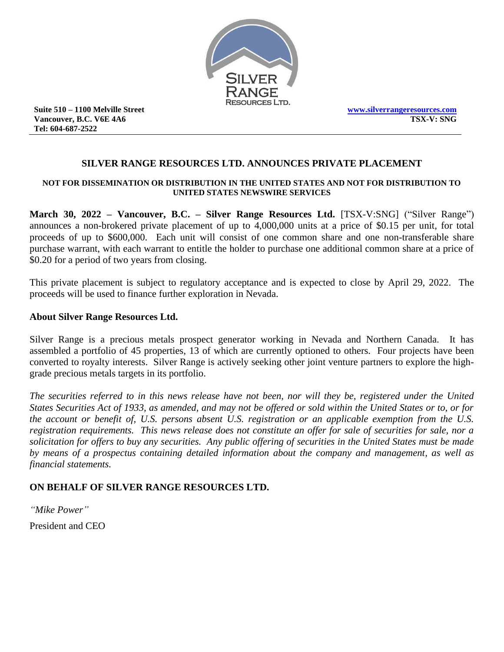

**Suite 510 – 1100 Melville Street Vancouver, B.C. V6E 4A6 Tel: 604-687-2522**

**[www.silverrangeresources.com](http://www.silverrangeresources.com/) TSX-V: SNG**

# **SILVER RANGE RESOURCES LTD. ANNOUNCES PRIVATE PLACEMENT**

#### **NOT FOR DISSEMINATION OR DISTRIBUTION IN THE UNITED STATES AND NOT FOR DISTRIBUTION TO UNITED STATES NEWSWIRE SERVICES**

**March 30, 2022 – Vancouver, B.C. – Silver Range Resources Ltd.** [TSX-V:SNG] ("Silver Range") announces a non-brokered private placement of up to 4,000,000 units at a price of \$0.15 per unit, for total proceeds of up to \$600,000. Each unit will consist of one common share and one non-transferable share purchase warrant, with each warrant to entitle the holder to purchase one additional common share at a price of \$0.20 for a period of two years from closing.

This private placement is subject to regulatory acceptance and is expected to close by April 29, 2022. The proceeds will be used to finance further exploration in Nevada.

### **About Silver Range Resources Ltd.**

Silver Range is a precious metals prospect generator working in Nevada and Northern Canada. It has assembled a portfolio of 45 properties, 13 of which are currently optioned to others. Four projects have been converted to royalty interests. Silver Range is actively seeking other joint venture partners to explore the highgrade precious metals targets in its portfolio.

*The securities referred to in this news release have not been, nor will they be, registered under the United States Securities Act of 1933, as amended, and may not be offered or sold within the United States or to, or for the account or benefit of, U.S. persons absent U.S. registration or an applicable exemption from the U.S. registration requirements. This news release does not constitute an offer for sale of securities for sale, nor a solicitation for offers to buy any securities. Any public offering of securities in the United States must be made by means of a prospectus containing detailed information about the company and management, as well as financial statements.*

## **ON BEHALF OF SILVER RANGE RESOURCES LTD.**

*"Mike Power"* President and CEO